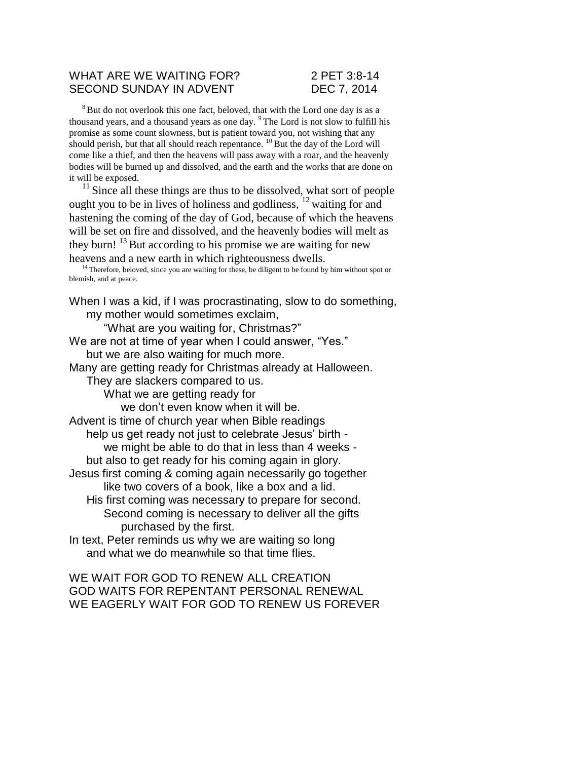### WHAT ARE WE WAITING FOR? 2 PET 3:8-14 SECOND SUNDAY IN ADVENT DEC 7, 2014

<sup>8</sup>But do not overlook this one fact, beloved, that with the Lord one day is as a thousand years, and a thousand years as one day. <sup>9</sup>The Lord is not slow to fulfill his promise as some count slowness, but is patient toward you, not wishing that any should perish, but that all should reach repentance.  $^{10}$  But the day of the Lord will come like a thief, and then the heavens will pass away with a roar, and the heavenly bodies will be burned up and dissolved, and the earth and the works that are done on it will be exposed.

 $11$  Since all these things are thus to be dissolved, what sort of people ought you to be in lives of holiness and godliness,  $12$  waiting for and hastening the coming of the day of God, because of which the heavens will be set on fire and dissolved, and the heavenly bodies will melt as they burn!  $13$  But according to his promise we are waiting for new heavens and a new earth in which righteousness dwells.

<sup>14</sup> Therefore, beloved, since you are waiting for these, be diligent to be found by him without spot or blemish, and at peace.

When I was a kid, if I was procrastinating, slow to do something, my mother would sometimes exclaim,

"What are you waiting for, Christmas?"

We are not at time of year when I could answer, "Yes." but we are also waiting for much more.

Many are getting ready for Christmas already at Halloween.

They are slackers compared to us.

What we are getting ready for

we don't even know when it will be.

Advent is time of church year when Bible readings help us get ready not just to celebrate Jesus' birth we might be able to do that in less than 4 weeks but also to get ready for his coming again in glory.

Jesus first coming & coming again necessarily go together like two covers of a book, like a box and a lid.

His first coming was necessary to prepare for second. Second coming is necessary to deliver all the gifts purchased by the first.

In text, Peter reminds us why we are waiting so long and what we do meanwhile so that time flies.

WE WAIT FOR GOD TO RENEW ALL CREATION GOD WAITS FOR REPENTANT PERSONAL RENEWAL WE EAGERLY WAIT FOR GOD TO RENEW US FOREVER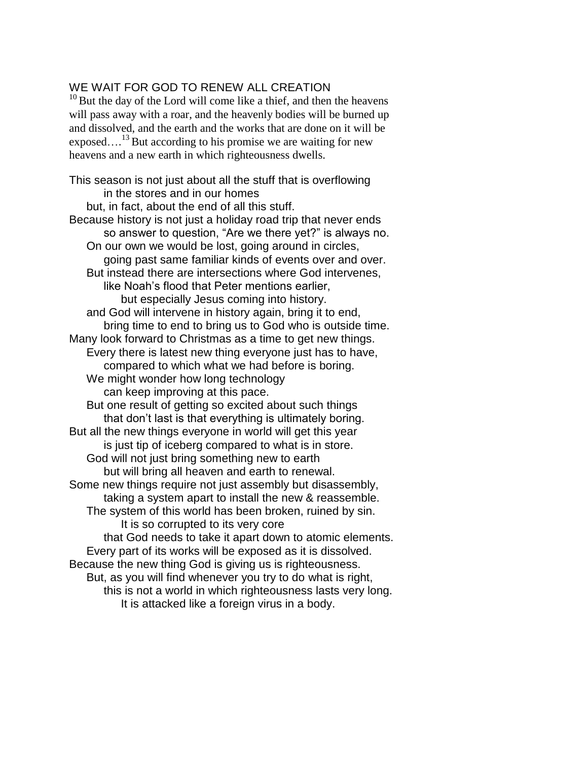## WE WAIT FOR GOD TO RENEW ALL CREATION

 $10$  But the day of the Lord will come like a thief, and then the heavens will pass away with a roar, and the heavenly bodies will be burned up and dissolved, and the earth and the works that are done on it will be exposed....<sup>13</sup> But according to his promise we are waiting for new heavens and a new earth in which righteousness dwells.

This season is not just about all the stuff that is overflowing in the stores and in our homes but, in fact, about the end of all this stuff. Because history is not just a holiday road trip that never ends so answer to question, "Are we there yet?" is always no. On our own we would be lost, going around in circles, going past same familiar kinds of events over and over. But instead there are intersections where God intervenes, like Noah's flood that Peter mentions earlier, but especially Jesus coming into history. and God will intervene in history again, bring it to end, bring time to end to bring us to God who is outside time. Many look forward to Christmas as a time to get new things. Every there is latest new thing everyone just has to have, compared to which what we had before is boring. We might wonder how long technology can keep improving at this pace. But one result of getting so excited about such things that don't last is that everything is ultimately boring. But all the new things everyone in world will get this year is just tip of iceberg compared to what is in store. God will not just bring something new to earth but will bring all heaven and earth to renewal. Some new things require not just assembly but disassembly, taking a system apart to install the new & reassemble. The system of this world has been broken, ruined by sin. It is so corrupted to its very core that God needs to take it apart down to atomic elements. Every part of its works will be exposed as it is dissolved. Because the new thing God is giving us is righteousness. But, as you will find whenever you try to do what is right, this is not a world in which righteousness lasts very long. It is attacked like a foreign virus in a body.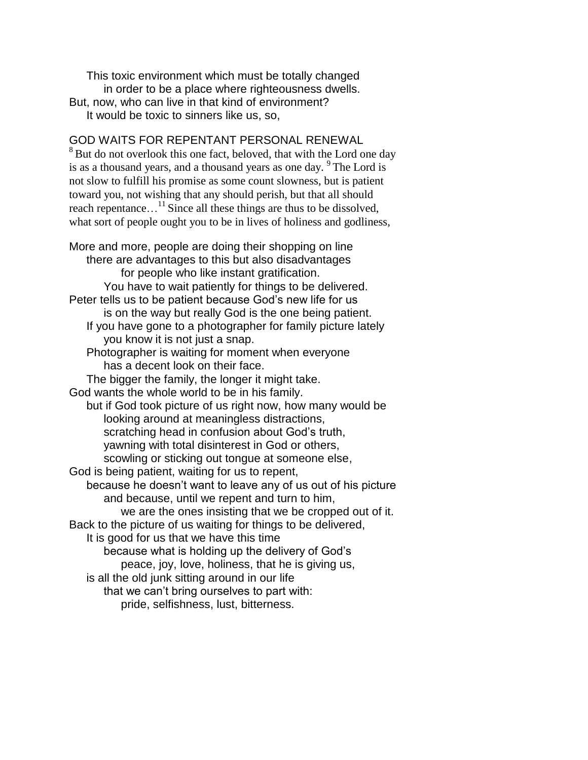This toxic environment which must be totally changed in order to be a place where righteousness dwells. But, now, who can live in that kind of environment? It would be toxic to sinners like us, so,

## GOD WAITS FOR REPENTANT PERSONAL RENEWAL

<sup>8</sup> But do not overlook this one fact, beloved, that with the Lord one day is as a thousand years, and a thousand years as one day. <sup>9</sup> The Lord is not slow to fulfill his promise as some count slowness, but is patient toward you, not wishing that any should perish, but that all should reach repentance...<sup>11</sup> Since all these things are thus to be dissolved, what sort of people ought you to be in lives of holiness and godliness,

More and more, people are doing their shopping on line there are advantages to this but also disadvantages for people who like instant gratification. You have to wait patiently for things to be delivered. Peter tells us to be patient because God's new life for us is on the way but really God is the one being patient. If you have gone to a photographer for family picture lately you know it is not just a snap. Photographer is waiting for moment when everyone has a decent look on their face. The bigger the family, the longer it might take. God wants the whole world to be in his family. but if God took picture of us right now, how many would be looking around at meaningless distractions, scratching head in confusion about God's truth, yawning with total disinterest in God or others, scowling or sticking out tongue at someone else, God is being patient, waiting for us to repent, because he doesn't want to leave any of us out of his picture and because, until we repent and turn to him, we are the ones insisting that we be cropped out of it. Back to the picture of us waiting for things to be delivered, It is good for us that we have this time because what is holding up the delivery of God's peace, joy, love, holiness, that he is giving us, is all the old junk sitting around in our life that we can't bring ourselves to part with: pride, selfishness, lust, bitterness.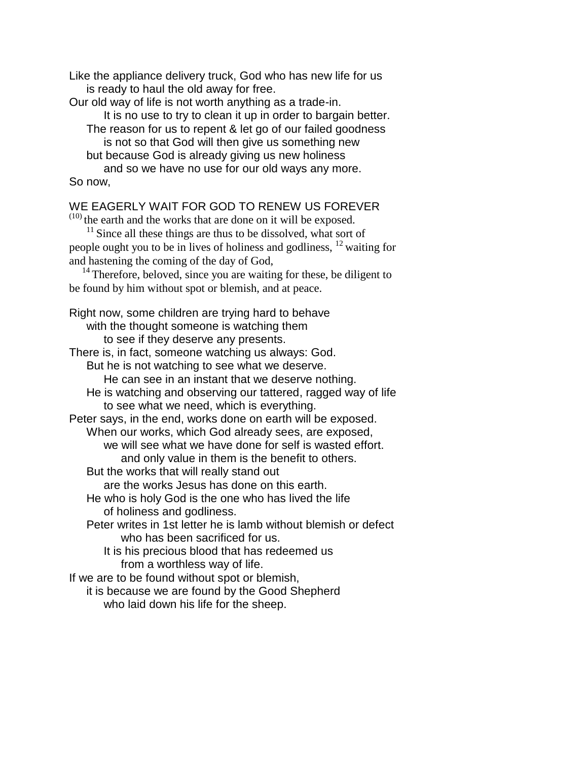Like the appliance delivery truck, God who has new life for us is ready to haul the old away for free.

Our old way of life is not worth anything as a trade-in.

It is no use to try to clean it up in order to bargain better. The reason for us to repent & let go of our failed goodness is not so that God will then give us something new but because God is already giving us new holiness

and so we have no use for our old ways any more. So now,

# WE EAGERLY WAIT FOR GOD TO RENEW US FOREVER

(10) the earth and the works that are done on it will be exposed.

 $11$  Since all these things are thus to be dissolved, what sort of people ought you to be in lives of holiness and godliness, <sup>12</sup> waiting for and hastening the coming of the day of God,

 $14$  Therefore, beloved, since you are waiting for these, be diligent to be found by him without spot or blemish, and at peace.

Right now, some children are trying hard to behave with the thought someone is watching them to see if they deserve any presents. There is, in fact, someone watching us always: God.

But he is not watching to see what we deserve. He can see in an instant that we deserve nothing. He is watching and observing our tattered, ragged way of life to see what we need, which is everything.

Peter says, in the end, works done on earth will be exposed. When our works, which God already sees, are exposed, we will see what we have done for self is wasted effort. and only value in them is the benefit to others.

But the works that will really stand out

are the works Jesus has done on this earth.

He who is holy God is the one who has lived the life of holiness and godliness.

Peter writes in 1st letter he is lamb without blemish or defect who has been sacrificed for us.

It is his precious blood that has redeemed us from a worthless way of life.

If we are to be found without spot or blemish,

it is because we are found by the Good Shepherd who laid down his life for the sheep.